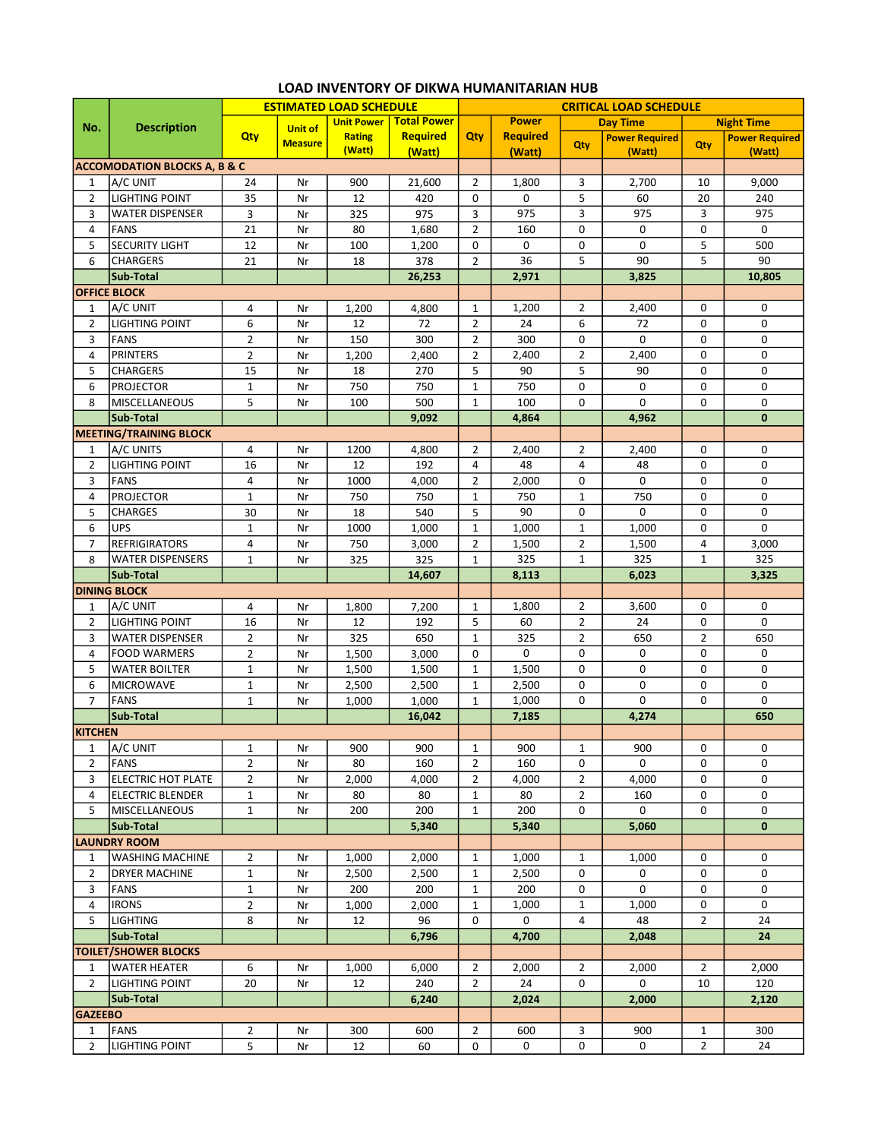|                | <b>Description</b>                      | <b>ESTIMATED LOAD SCHEDULE</b> |                |                   |                    | <b>CRITICAL LOAD SCHEDULE</b> |                 |                 |                       |                   |                       |  |
|----------------|-----------------------------------------|--------------------------------|----------------|-------------------|--------------------|-------------------------------|-----------------|-----------------|-----------------------|-------------------|-----------------------|--|
| No.            |                                         |                                | <b>Unit of</b> | <b>Unit Power</b> | <b>Total Power</b> |                               | <b>Power</b>    | <b>Day Time</b> |                       | <b>Night Time</b> |                       |  |
|                |                                         | Qty                            | <b>Measure</b> | <b>Rating</b>     | <b>Required</b>    | Qty                           | <b>Required</b> | Qty             | <b>Power Required</b> | Qty               | <b>Power Required</b> |  |
|                |                                         |                                |                | (Watt)            | (Watt)             |                               | (Watt)          |                 | (Watt)                |                   | (Watt)                |  |
|                | <b>ACCOMODATION BLOCKS A, B &amp; C</b> |                                |                |                   |                    |                               |                 |                 |                       |                   |                       |  |
| 1              | A/C UNIT                                | 24                             | Nr             | 900               | 21,600             | $\overline{2}$                | 1,800           | 3               | 2,700                 | 10                | 9,000                 |  |
| $\overline{2}$ | <b>LIGHTING POINT</b>                   | 35                             | Nr             | 12                | 420                | 0                             | 0               | 5               | 60                    | 20                | 240                   |  |
| 3              | <b>WATER DISPENSER</b>                  | 3                              | Nr             | 325               | 975                | 3                             | 975             | 3               | 975                   | 3                 | 975                   |  |
| 4              | <b>FANS</b>                             | 21                             | Nr             | 80                | 1,680              | $\overline{2}$                | 160             | 0               | 0                     | 0                 | 0                     |  |
| 5              | <b>SECURITY LIGHT</b>                   | 12                             | Nr             | 100               | 1,200              | 0                             | 0               | 0               | $\mathbf 0$           | 5                 | 500                   |  |
| 6              | <b>CHARGERS</b>                         | 21                             | Nr             | 18                | 378                | $\overline{2}$                | 36              | 5               | 90                    | 5                 | 90                    |  |
|                | Sub-Total                               |                                |                |                   | 26,253             |                               | 2,971           |                 | 3,825                 |                   | 10,805                |  |
|                | <b>OFFICE BLOCK</b>                     |                                |                |                   |                    |                               |                 |                 |                       |                   |                       |  |
| 1              | A/C UNIT                                | 4                              | Nr             | 1,200             | 4,800              | 1                             | 1,200           | $\overline{2}$  | 2,400                 | 0                 | 0                     |  |
| $\overline{2}$ | <b>LIGHTING POINT</b>                   | 6                              | Nr             | 12                | 72                 | $\overline{2}$                | 24              | 6               | 72                    | 0                 | 0                     |  |
| 3              | <b>FANS</b>                             | $\overline{2}$                 | Nr             | 150               | 300                | $\overline{2}$                | 300             | 0               | 0                     | 0                 | 0                     |  |
| 4              | <b>PRINTERS</b>                         | $\overline{2}$                 | Nr             | 1,200             | 2,400              | $\overline{2}$                | 2,400           | $\overline{2}$  | 2,400                 | $\mathbf 0$       | 0                     |  |
| 5              | <b>CHARGERS</b>                         | 15                             | Nr             | 18                | 270                | 5                             | 90              | 5               | 90                    | 0                 | 0                     |  |
| 6              | <b>PROJECTOR</b>                        | $\mathbf 1$                    | Nr             | 750               | 750                | $\mathbf{1}$                  | 750             | 0               | 0                     | 0                 | 0                     |  |
| 8              | MISCELLANEOUS                           | 5                              | Nr             | 100               | 500                | $\mathbf{1}$                  | 100             | 0               | 0                     | 0                 | 0                     |  |
|                | Sub-Total                               |                                |                |                   | 9,092              |                               | 4,864           |                 | 4,962                 |                   | $\mathbf{0}$          |  |
|                | <b>MEETING/TRAINING BLOCK</b>           |                                |                |                   |                    |                               |                 |                 |                       |                   |                       |  |
| $\mathbf{1}$   | A/C UNITS                               | 4                              | Nr             | 1200              | 4,800              | $\overline{2}$                | 2,400           | $\overline{2}$  | 2,400                 | 0                 | 0                     |  |
| $\overline{2}$ | <b>LIGHTING POINT</b>                   | 16                             | Nr             | 12                | 192                | 4                             | 48              | 4               | 48                    | 0                 | 0                     |  |
| 3              | <b>FANS</b>                             | 4                              | Nr             | 1000              | 4,000              | $\overline{2}$                | 2,000           | 0               | 0                     | 0                 | 0                     |  |
| 4              | <b>PROJECTOR</b>                        | $\mathbf{1}$                   | Nr             | 750               | 750                | $\mathbf{1}$                  | 750             | 1               | 750                   | 0                 | 0                     |  |
| 5              | <b>CHARGES</b>                          | 30                             | Nr             | 18                | 540                | 5                             | 90              | 0               | 0                     | 0                 | 0                     |  |
| 6              | <b>UPS</b>                              | $\mathbf{1}$                   | Nr             | 1000              | 1,000              | $\mathbf{1}$                  | 1,000           | $\mathbf{1}$    | 1,000                 | $\mathbf 0$       | 0                     |  |
| $\overline{7}$ | <b>REFRIGIRATORS</b>                    | 4                              | Nr             | 750               | 3,000              | $\overline{2}$                | 1,500           | $\overline{2}$  | 1,500                 | 4                 | 3,000                 |  |
| 8              | <b>WATER DISPENSERS</b>                 | $\mathbf{1}$                   | Nr             | 325               | 325                | $\mathbf{1}$                  | 325             | $\mathbf{1}$    | 325                   | $\mathbf 1$       | 325                   |  |
|                | Sub-Total                               |                                |                |                   | 14,607             |                               | 8,113           |                 | 6,023                 |                   | 3,325                 |  |
|                | <b>DINING BLOCK</b>                     |                                |                |                   |                    |                               |                 |                 |                       |                   |                       |  |
| 1              | A/C UNIT                                | 4                              | Nr             | 1,800             | 7,200              | $\mathbf{1}$                  | 1,800           | $\overline{2}$  | 3,600                 | 0                 | 0                     |  |
| $\overline{2}$ | <b>LIGHTING POINT</b>                   | 16                             | Nr             | 12                | 192                | 5                             | 60              | $\overline{2}$  | 24                    | 0                 | 0                     |  |
| 3              | <b>WATER DISPENSER</b>                  | $\overline{2}$                 | Nr             | 325               | 650                | $\mathbf{1}$                  | 325             | $\overline{2}$  | 650                   | $\overline{2}$    | 650                   |  |
| 4              | <b>FOOD WARMERS</b>                     | $\overline{2}$                 | Nr             | 1,500             | 3,000              | 0                             | 0               | 0               | 0                     | 0                 | 0                     |  |
| 5              | <b>WATER BOILTER</b>                    | $1\,$                          | Nr             | 1,500             | 1,500              | $\mathbf{1}$                  | 1,500           | 0               | 0                     | 0                 | 0                     |  |
| 6              | <b>MICROWAVE</b>                        | $1\,$                          | Nr             | 2,500             | 2,500              | $\mathbf{1}$                  | 2,500           | 0               | 0                     | 0                 | 0                     |  |
| $\overline{7}$ | FANS                                    | $\mathbf{1}$                   | Nr             | 1,000             | 1,000              | $\mathbf{1}$                  | 1,000           | 0               | 0                     | 0                 | 0                     |  |
|                | Sub-Total                               |                                |                |                   | 16,042             |                               | 7,185           |                 | 4,274                 |                   | 650                   |  |
| <b>KITCHEN</b> |                                         |                                |                |                   |                    |                               |                 |                 |                       |                   |                       |  |
| 1              | A/C UNIT                                | $\mathbf{1}$                   | Nr             | 900               | 900                | $\mathbf{1}$                  | 900             | 1               | 900                   | 0                 | 0                     |  |
| $\overline{2}$ | FANS                                    | $\overline{2}$                 | Nr             | 80                | 160                | $\overline{2}$                | 160             | 0               | $\mathbf 0$           | 0                 | 0                     |  |
| 3              | ELECTRIC HOT PLATE                      | $\overline{2}$                 | Nr             | 2,000             | 4,000              | $\overline{2}$                | 4,000           | $\overline{2}$  | 4,000                 | 0                 | 0                     |  |
| 4              | ELECTRIC BLENDER                        | $\mathbf{1}$                   | Nr             | 80                | 80                 | $\mathbf{1}$                  | 80              | $\overline{2}$  | 160                   | 0                 | 0                     |  |
| 5              | MISCELLANEOUS                           | $\mathbf{1}$                   | Nr             | 200               | 200                | $\mathbf{1}$                  | 200             | 0               | 0                     | 0                 | 0                     |  |
|                | Sub-Total                               |                                |                |                   | 5,340              |                               | 5,340           |                 | 5,060                 |                   | $\mathbf{0}$          |  |
|                | <b>LAUNDRY ROOM</b>                     |                                |                |                   |                    |                               |                 |                 |                       |                   |                       |  |
| 1              | WASHING MACHINE                         | $\overline{2}$                 | Nr             | 1,000             | 2,000              | $\mathbf{1}$                  | 1,000           | $\mathbf{1}$    | 1,000                 | 0                 | 0                     |  |
| 2              | <b>DRYER MACHINE</b>                    | $\mathbf{1}$                   | Nr             | 2,500             | 2,500              | $\mathbf{1}$                  | 2,500           | 0               | 0                     | 0                 | 0                     |  |
| 3              | <b>FANS</b>                             | $\mathbf{1}$                   | Nr             | 200               | 200                | $\mathbf{1}$                  | 200             | 0               | 0                     | $\mathbf 0$       | $\mathbf 0$           |  |
| 4              | <b>IRONS</b>                            | $\overline{2}$                 | Nr             | 1,000             | 2,000              | $\mathbf{1}$                  | 1,000           | $\mathbf{1}$    | 1,000                 | 0                 | 0                     |  |
| 5              | <b>LIGHTING</b>                         |                                |                | 12                | 96                 | 0                             | 0               | 4               | 48                    | $\overline{2}$    | 24                    |  |
|                |                                         | 8                              | Nr             |                   |                    |                               |                 |                 |                       |                   |                       |  |
|                | Sub-Total                               |                                |                |                   | 6,796              |                               | 4,700           |                 | 2,048                 |                   | 24                    |  |
|                | <b>TOILET/SHOWER BLOCKS</b>             |                                |                |                   |                    |                               |                 |                 |                       |                   |                       |  |
| $\mathbf{1}$   | <b>WATER HEATER</b>                     | 6                              | Nr             | 1,000             | 6,000              | $\overline{2}$                | 2,000           | $\overline{2}$  | 2,000                 | $\overline{2}$    | 2,000                 |  |
| $\overline{2}$ | LIGHTING POINT                          | 20                             | Nr             | 12                | 240                | $\overline{2}$                | 24              | 0               | 0                     | 10                | 120                   |  |
|                | Sub-Total                               |                                |                |                   | 6,240              |                               | 2,024           |                 | 2,000                 |                   | 2,120                 |  |
| <b>GAZEEBO</b> |                                         |                                |                |                   |                    |                               |                 |                 |                       |                   |                       |  |
| $\mathbf{1}$   | <b>FANS</b>                             | $\overline{2}$                 | Nr             | 300               | 600                | $\overline{2}$                | 600             | 3               | 900                   | $\mathbf{1}$      | 300                   |  |
| $\overline{2}$ | <b>LIGHTING POINT</b>                   | 5                              | Nr             | 12                | 60                 | 0                             | 0               | 0               | 0                     | $\overline{2}$    | 24                    |  |

## LOAD INVENTORY OF DIKWA HUMANITARIAN HUB